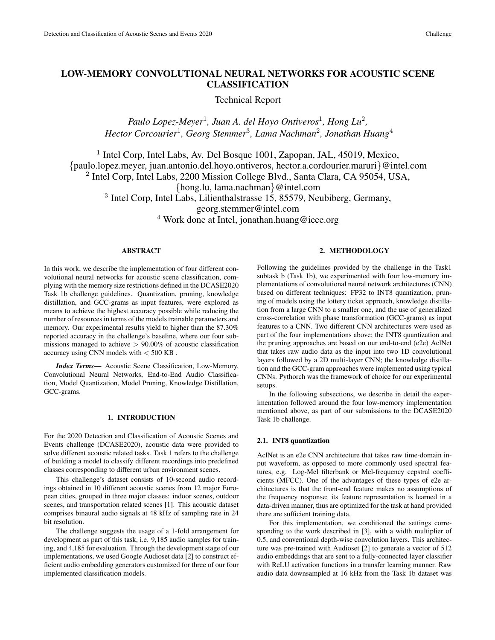# LOW-MEMORY CONVOLUTIONAL NEURAL NETWORKS FOR ACOUSTIC SCENE CLASSIFICATION

Technical Report

Paulo Lopez-Meyer<sup>1</sup>, Juan A. del Hoyo Ontiveros<sup>1</sup>, Hong Lu<sup>2</sup>, *Hector Corcourier*<sup>1</sup> *, Georg Stemmer*<sup>3</sup> *, Lama Nachman*<sup>2</sup> *, Jonathan Huang*<sup>4</sup>

<sup>1</sup> Intel Corp, Intel Labs, Av. Del Bosque 1001, Zapopan, JAL, 45019, Mexico, {paulo.lopez.meyer, juan.antonio.del.hoyo.ontiveros, hector.a.cordourier.maruri}@intel.com <sup>2</sup> Intel Corp, Intel Labs, 2200 Mission College Blvd., Santa Clara, CA 95054, USA, {hong.lu, lama.nachman}@intel.com <sup>3</sup> Intel Corp, Intel Labs, Lilienthalstrasse 15, 85579, Neubiberg, Germany, georg.stemmer@intel.com <sup>4</sup> Work done at Intel, jonathan.huang@ieee.org

## ABSTRACT

In this work, we describe the implementation of four different convolutional neural networks for acoustic scene classification, complying with the memory size restrictions defined in the DCASE2020 Task 1b challenge guidelines. Quantization, pruning, knowledge distillation, and GCC-grams as input features, were explored as means to achieve the highest accuracy possible while reducing the number of resources in terms of the models trainable parameters and memory. Our experimental results yield to higher than the 87.30% reported accuracy in the challenge's baseline, where our four submissions managed to achieve  $> 90.00\%$  of acoustic classification accuracy using CNN models with < 500 KB .

*Index Terms*— Acoustic Scene Classification, Low-Memory, Convolutional Neural Networks, End-to-End Audio Classification, Model Quantization, Model Pruning, Knowledge Distillation, GCC-grams.

## 1. INTRODUCTION

For the 2020 Detection and Classification of Acoustic Scenes and Events challenge (DCASE2020), acoustic data were provided to solve different acoustic related tasks. Task 1 refers to the challenge of building a model to classify different recordings into predefined classes corresponding to different urban environment scenes.

This challenge's dataset consists of 10-second audio recordings obtained in 10 different acoustic scenes from 12 major European cities, grouped in three major classes: indoor scenes, outdoor scenes, and transportation related scenes [1]. This acoustic dataset comprises binaural audio signals at 48 kHz of sampling rate in 24 bit resolution.

The challenge suggests the usage of a 1-fold arrangement for development as part of this task, i.e. 9,185 audio samples for training, and 4,185 for evaluation. Through the development stage of our implementations, we used Google Audioset data [2] to construct efficient audio embedding generators customized for three of our four implemented classification models.

## 2. METHODOLOGY

Following the guidelines provided by the challenge in the Task1 subtask b (Task 1b), we experimented with four low-memory implementations of convolutional neural network architectures (CNN) based on different techniques: FP32 to INT8 quantization, pruning of models using the lottery ticket approach, knowledge distillation from a large CNN to a smaller one, and the use of generalized cross-correlation with phase transformation (GCC-grams) as input features to a CNN. Two different CNN architectures were used as part of the four implementations above; the INT8 quantization and the pruning approaches are based on our end-to-end (e2e) AclNet that takes raw audio data as the input into two 1D convolutional layers followed by a 2D multi-layer CNN; the knowledge distillation and the GCC-gram approaches were implemented using typical CNNs. Pythorch was the framework of choice for our experimental setups.

In the following subsections, we describe in detail the experimentation followed around the four low-memory implementation mentioned above, as part of our submissions to the DCASE2020 Task 1b challenge.

#### 2.1. INT8 quantization

AclNet is an e2e CNN architecture that takes raw time-domain input waveform, as opposed to more commonly used spectral features, e.g. Log-Mel filterbank or Mel-frequency cepstral coefficients (MFCC). One of the advantages of these types of e2e architectures is that the front-end feature makes no assumptions of the frequency response; its feature representation is learned in a data-driven manner, thus are optimized for the task at hand provided there are sufficient training data.

For this implementation, we conditioned the settings corresponding to the work described in [3], with a width multiplier of 0.5, and conventional depth-wise convolution layers. This architecture was pre-trained with Audioset [2] to generate a vector of 512 audio embeddings that are sent to a fully-connected layer classifier with ReLU activation functions in a transfer learning manner. Raw audio data downsampled at 16 kHz from the Task 1b dataset was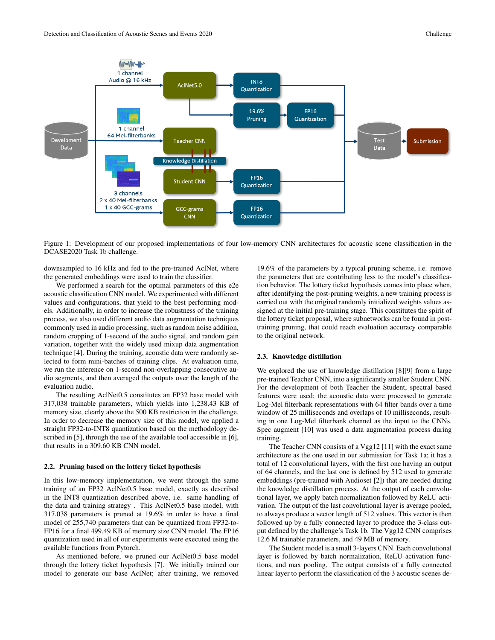

Figure 1: Development of our proposed implementations of four low-memory CNN architectures for acoustic scene classification in the DCASE2020 Task 1b challenge.

downsampled to 16 kHz and fed to the pre-trained AclNet, where the generated embeddings were used to train the classifier.

We performed a search for the optimal parameters of this e2e acoustic classification CNN model. We experimented with different values and configurations, that yield to the best performing models. Additionally, in order to increase the robustness of the training process, we also used different audio data augmentation techniques commonly used in audio processing, such as random noise addition, random cropping of 1-second of the audio signal, and random gain variation, together with the widely used mixup data augmentation technique [4]. During the training, acoustic data were randomly selected to form mini-batches of training clips. At evaluation time, we run the inference on 1-second non-overlapping consecutive audio segments, and then averaged the outputs over the length of the evaluation audio.

The resulting AclNet0.5 constitutes an FP32 base model with 317,038 trainable parameters, which yields into 1,238.43 KB of memory size, clearly above the 500 KB restriction in the challenge. In order to decrease the memory size of this model, we applied a straight FP32-to-INT8 quantization based on the methodology described in [5], through the use of the available tool accessible in [6], that results in a 309.60 KB CNN model.

#### 2.2. Pruning based on the lottery ticket hypothesis

In this low-memory implementation, we went through the same training of an FP32 AclNet0.5 base model, exactly as described in the INT8 quantization described above, i.e. same handling of the data and training strategy . This AclNet0.5 base model, with 317,038 parameters is pruned at 19.6% in order to have a final model of 255,740 parameters that can be quantized from FP32-to-FP16 for a final 499.49 KB of memory size CNN model. The FP16 quantization used in all of our experiments were executed using the available functions from Pytorch.

As mentioned before, we pruned our AclNet0.5 base model through the lottery ticket hypothesis [7]. We initially trained our model to generate our base AclNet; after training, we removed

19.6% of the parameters by a typical pruning scheme, i.e. remove the parameters that are contributing less to the model's classification behavior. The lottery ticket hypothesis comes into place when, after identifying the post-pruning weights, a new training process is carried out with the original randomly initialized weights values assigned at the initial pre-training stage. This constitutes the spirit of the lottery ticket proposal, where subnetworks can be found in posttraining pruning, that could reach evaluation accuracy comparable to the original network.

#### 2.3. Knowledge distillation

We explored the use of knowledge distillation [8][9] from a large pre-trained Teacher CNN, into a significantly smaller Student CNN. For the development of both Teacher the Student, spectral based features were used; the acoustic data were processed to generate Log-Mel filterbank representations with 64 filter bands over a time window of 25 milliseconds and overlaps of 10 milliseconds, resulting in one Log-Mel filterbank channel as the input to the CNNs. Spec augment [10] was used a data augmentation process during training.

The Teacher CNN consists of a Vgg12 [11] with the exact same architecture as the one used in our submission for Task 1a; it has a total of 12 convolutional layers, with the first one having an output of 64 channels, and the last one is defined by 512 used to generate embeddings (pre-trained with Audioset [2]) that are needed during the knowledge distillation process. At the output of each convolutional layer, we apply batch normalization followed by ReLU activation. The output of the last convolutional layer is average pooled, to always produce a vector length of 512 values. This vector is then followed up by a fully connected layer to produce the 3-class output defined by the challenge's Task 1b. The Vgg12 CNN comprises 12.6 M trainable parameters, and 49 MB of memory.

The Student model is a small 3-layers CNN. Each convolutional layer is followed by batch normalization, ReLU activation functions, and max pooling. The output consists of a fully connected linear layer to perform the classification of the 3 acoustic scenes de-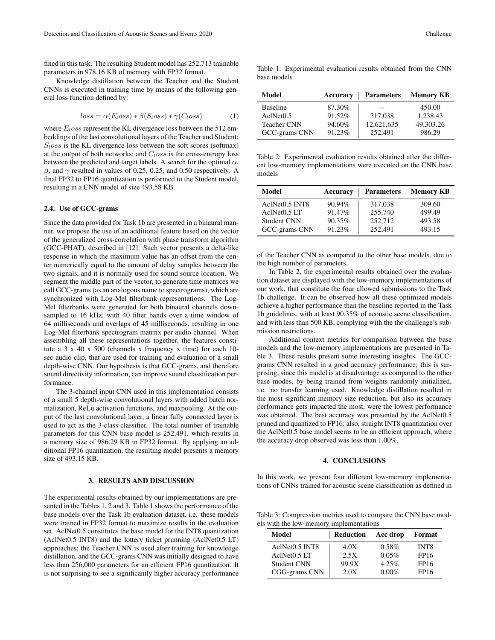fined in this task. The resulting Student model has 252,713 trainable parameters in 978.16 KB of memory with FP32 format.

Knowledge distillation between the Teacher and the Student CNNs is executed in training time by means of the following general loss function defined by:

$$
loss = \alpha(E_loss) * \beta(S_loss) * \gamma(C_loss)
$$
 (1)

where  $E<sub>l</sub>$ oss represent the KL divergence loss between the 512 embeddings of the last convolutional layers of the Teacher and Student;  $S<sub>loss</sub>$  is the KL divergence loss between the soft scores (softmax) at the output of both networks; and  $C<sub>l</sub>$  oss is the cross-entropy loss between the predicted and target labels. A search for the optimal  $\alpha$ ,  $β$ , and  $γ$  resulted in values of 0.25, 0.25, and 0.50 respectively. A final FP32 to FP16 quantization is performed to the Student model, resulting in a CNN model of size 493.58 KB.

#### 2.4. Use of GCC-grams

Since the data provided for Task 1b are presented in a binaural manner, we propose the use of an additional feature based on the vector of the generalized cross-correlation with phase transform algorithm (GCC-PHAT), described in [12]. Such vector presents a delta-like response in which the maximum value has an offset from the center numerically equal to the amount of delay samples between the two signals, and it is normally used for sound source location. We segment the middle part of the vector, to generate time matrices we call GCC-grams (as an analogous name to spectrograms), which are synchronized with Log-Mel filterbank representations. The Log-Mel filterbanks were generated for both binaural channels downsampled to 16 kHz, with 40 filter bands over a time window of 64 milliseconds and overlaps of 45 milliseconds, resulting in one Log-Mel filterbank spectrogram matrrix per audio channel. When assembling all these representations together, the features constitute a 3 x 40 x 500 (channels x frequency x time) for each 10 sec audio clip, that are used for training and evaluation of a small depth-wise CNN. Our hypothesis is that GCC-grams, and therefore sound directivity information, can improve sound classification performance.

The 3-channel input CNN used in this implementation consists of a small 5 depth-wise convolutional layers with added batch normalization, ReLu activation functions, and maxpooling. At the output of the last convolutional layer, a linear fully connected layer is used to act as the 3-class classifier. The total number of trainable parameters for this CNN base model is 252,491, which results in a memory size of 986.29 KB in FP32 format. By applying an additional FP16 quantization, the resulting model presents a memory size of 493.15 KB.

## 3. RESULTS AND DISCUSSION

The experimental results obtained by our implementations are presented in the Tables 1, 2 and 3. Table 1 shows the performance of the base models over the Task 1b evaluation dataset, i.e. these models were trained in FP32 format to maximize results in the evaluation set. AclNet0.5 constitutes the base model for the INT8 quantization (AclNet0.5 INT8) and the lottery ticket prunning (AclNet0.5 LT) approaches; the Teacher CNN is used after training for knowledge distillation, and the GCC-grams CNN was initially designed to have less than 256,000 parameters for an efficient FP16 quantization. It is not surprising to see a significantly higher accuracy performance

|             | Table 1: Experimental evaluation results obtained from the CNN |  |  |  |
|-------------|----------------------------------------------------------------|--|--|--|
| base models |                                                                |  |  |  |

| Model              | Accuracy | Parameters | <b>Memory KB</b> |
|--------------------|----------|------------|------------------|
| <b>Baseline</b>    | 87.30%   |            | 450.00           |
| AclNet0.5          | 91.52%   | 317,038    | 1.238.43         |
| <b>Teacher CNN</b> | 94.60%   | 12,621,635 | 49.303.26        |
| GCC-grams CNN      | 91.23%   | 252.491    | 986.29           |

Table 2: Experimental evaluation results obtained after the different low-memory implementations were executed on the CNN base models

| Model                                  | Accuracy  | <b>Parameters</b> | <b>Memory KB</b> |
|----------------------------------------|-----------|-------------------|------------------|
| AclNet <sub>0.5</sub> INT <sub>8</sub> | 90.94%    | 317,038           | 309.60           |
| $AclNet0.5$ LT                         | $91.47\%$ | 255,740           | 499.49           |
| <b>Student CNN</b>                     | 90.35%    | 252.712           | 493.58           |
| GCC-grams CNN                          | 91.23%    | 252.491           | 493.15           |

of the Teacher CNN as compared to the other base models, due to the high number of parameters.

In Table 2, the experimental results obtained over the evaluation dataset are displayed with the low-memory implementations of our work, that constitute the four allowed submissions to the Task 1b challenge. It can be observed how all these optimized models achieve a higher performance than the baseline reported in the Task 1b guidelines, with at least 90.35% of acoustic scene classification, and with less than 500 KB, complying with the the challenge's submission restrictions.

Additional context metrics for comparison between the base models and the low-memory implementations are presented in Table 3. These results present some interesting insights. The GCCgrams CNN resulted in a good accuracy performance; this is surprising, since this model is at disadvantage as compared to the other base modes, by being trained from weights randomly initialized, i.e. no transfer learning used. Knowledge distillation resulted in the most significant memory size reduction, but also its accuracy performance gets impacted the most, were the lowest performance was obtained. The best accuracy was presented by the AclNet0.5 pruned and quantized to FP16; also, straight INT8 quantization over the AclNet0.5 base model seems to be an efficient approach, where the accuracy drop observed was less than 1.00%.

#### 4. CONCLUSIONS

In this work, we present four different low-memory implementations of CNNs trained for acoustic scene classification as defined in

Table 3: Compression metrics used to compare the CNN base models with the low-memory implementations

| Model                      | Reduction | Acc drop   Format |                  |
|----------------------------|-----------|-------------------|------------------|
| AclNet <sub>0.5</sub> INT8 | 4.0X      | $0.58\%$          | INT <sub>8</sub> |
| AclNet0.5 LT               | 2.5X      | 0.05%             | FP16             |
| <b>Student CNN</b>         | 99.9X     | 4.25%             | FP16             |
| CGG-grams CNN              | 2.0X      | $0.00\%$          | FP16             |